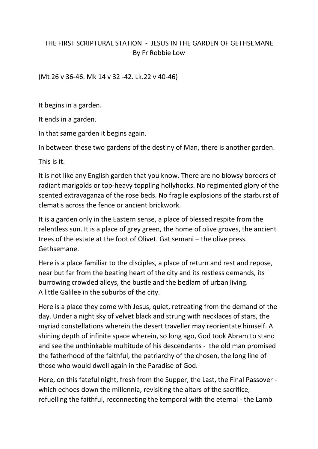## THE FIRST SCRIPTURAL STATION - JESUS IN THE GARDEN OF GETHSEMANE By Fr Robbie Low

(Mt 26 v 36-46. Mk 14 v 32 -42. Lk.22 v 40-46)

It begins in a garden.

It ends in a garden.

In that same garden it begins again.

In between these two gardens of the destiny of Man, there is another garden.

This is it.

It is not like any English garden that you know. There are no blowsy borders of radiant marigolds or top-heavy toppling hollyhocks. No regimented glory of the scented extravaganza of the rose beds. No fragile explosions of the starburst of clematis across the fence or ancient brickwork.

It is a garden only in the Eastern sense, a place of blessed respite from the relentless sun. It is a place of grey green, the home of olive groves, the ancient trees of the estate at the foot of Olivet. Gat semani – the olive press. Gethsemane.

Here is a place familiar to the disciples, a place of return and rest and repose, near but far from the beating heart of the city and its restless demands, its burrowing crowded alleys, the bustle and the bedlam of urban living. A little Galilee in the suburbs of the city.

Here is a place they come with Jesus, quiet, retreating from the demand of the day. Under a night sky of velvet black and strung with necklaces of stars, the myriad constellations wherein the desert traveller may reorientate himself. A shining depth of infinite space wherein, so long ago, God took Abram to stand and see the unthinkable multitude of his descendants - the old man promised the fatherhood of the faithful, the patriarchy of the chosen, the long line of those who would dwell again in the Paradise of God.

Here, on this fateful night, fresh from the Supper, the Last, the Final Passover which echoes down the millennia, revisiting the altars of the sacrifice, refuelling the faithful, reconnecting the temporal with the eternal - the Lamb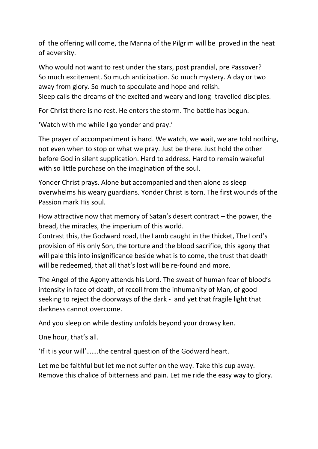of the offering will come, the Manna of the Pilgrim will be proved in the heat of adversity.

Who would not want to rest under the stars, post prandial, pre Passover? So much excitement. So much anticipation. So much mystery. A day or two away from glory. So much to speculate and hope and relish. Sleep calls the dreams of the excited and weary and long- travelled disciples.

For Christ there is no rest. He enters the storm. The battle has begun.

'Watch with me while I go yonder and pray.'

The prayer of accompaniment is hard. We watch, we wait, we are told nothing, not even when to stop or what we pray. Just be there. Just hold the other before God in silent supplication. Hard to address. Hard to remain wakeful with so little purchase on the imagination of the soul.

Yonder Christ prays. Alone but accompanied and then alone as sleep overwhelms his weary guardians. Yonder Christ is torn. The first wounds of the Passion mark His soul.

How attractive now that memory of Satan's desert contract – the power, the bread, the miracles, the imperium of this world.

Contrast this, the Godward road, the Lamb caught in the thicket, The Lord's provision of His only Son, the torture and the blood sacrifice, this agony that will pale this into insignificance beside what is to come, the trust that death will be redeemed, that all that's lost will be re-found and more.

The Angel of the Agony attends his Lord. The sweat of human fear of blood's intensity in face of death, of recoil from the inhumanity of Man, of good seeking to reject the doorways of the dark - and yet that fragile light that darkness cannot overcome.

And you sleep on while destiny unfolds beyond your drowsy ken.

One hour, that's all.

'If it is your will'…….the central question of the Godward heart.

Let me be faithful but let me not suffer on the way. Take this cup away. Remove this chalice of bitterness and pain. Let me ride the easy way to glory.